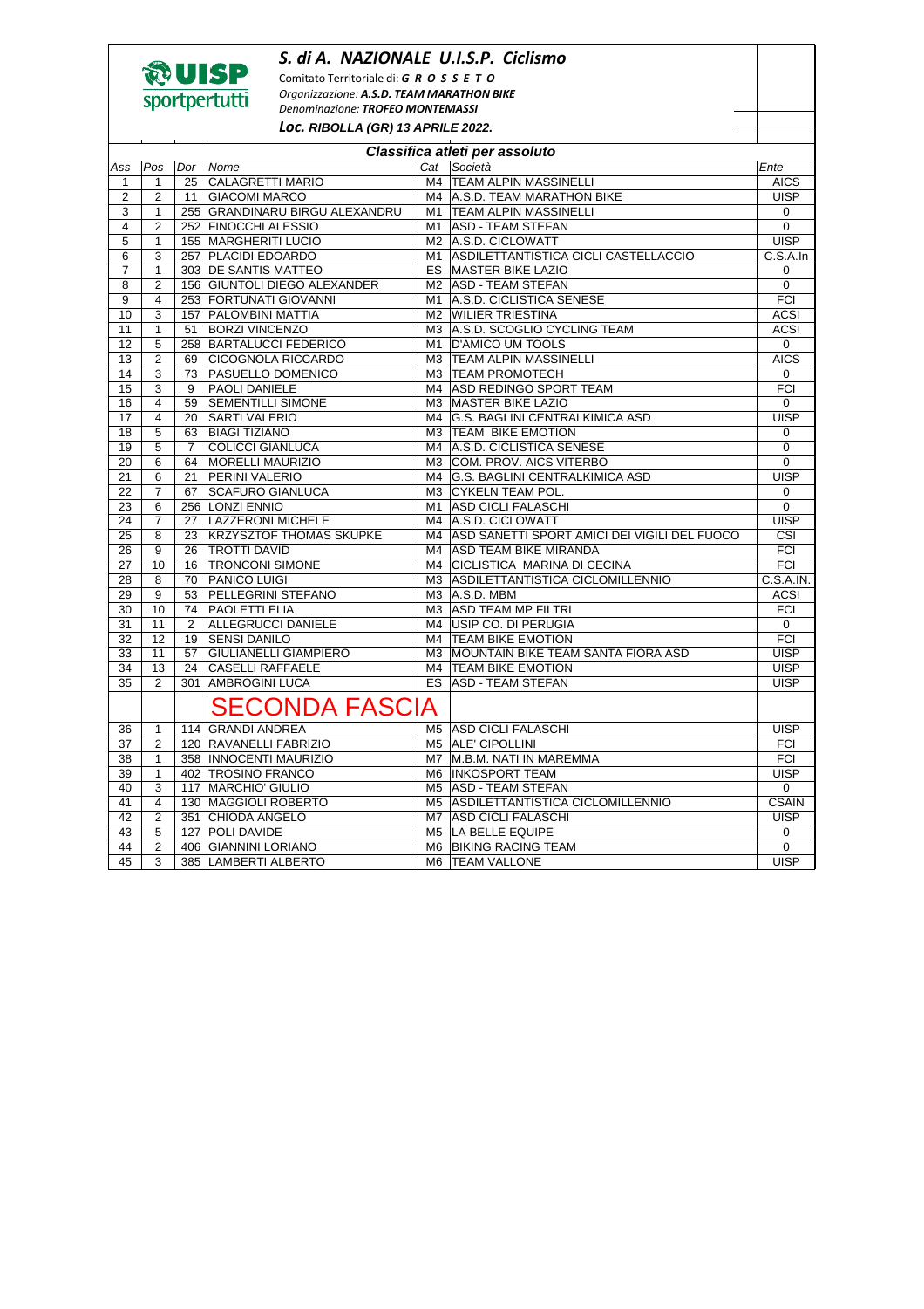## *S. di A. NAZIONALE U.I.S.P. Ciclismo*



Comitato Territoriale di: *G R O S S E T O Organizzazione: A.S.D. TEAM MARATHON BIKE Denominazione: TROFEO MONTEMASSI* 

*Loc.* **RIBOLLA (GR) 13 APRILE 2022.** 

| Classifica atleti per assoluto |                |                |                                                          |                            |                                                 |                         |  |  |  |  |  |
|--------------------------------|----------------|----------------|----------------------------------------------------------|----------------------------|-------------------------------------------------|-------------------------|--|--|--|--|--|
| Ass                            | Pos            | Dor            | Nome                                                     |                            | Cat Società                                     | Ente                    |  |  |  |  |  |
| $\mathbf{1}$                   | $\mathbf{1}$   |                | 25 CALAGRETTI MARIO                                      |                            | M4 TEAM ALPIN MASSINELLI                        | <b>AICS</b>             |  |  |  |  |  |
| $\overline{2}$                 | $\overline{2}$ |                | 11 GIACOMI MARCO                                         |                            | M4 A.S.D. TEAM MARATHON BIKE                    | <b>UISP</b>             |  |  |  |  |  |
| 3                              | $\mathbf{1}$   |                | 255 GRANDINARU BIRGU ALEXANDRU                           | M1   TEAM ALPIN MASSINELLI | $\mathbf 0$                                     |                         |  |  |  |  |  |
| 4                              | $\overline{2}$ |                | 252 FINOCCHI ALESSIO                                     |                            | M1 ASD - TEAM STEFAN                            | $\overline{0}$          |  |  |  |  |  |
| 5                              | 1              |                | 155 MARGHERITI LUCIO<br>M2 A.S.D. CICLOWATT              |                            |                                                 | <b>UISP</b>             |  |  |  |  |  |
| 6                              | 3              |                | 257 PLACIDI EDOARDO                                      |                            | M1 ASDILETTANTISTICA CICLI CASTELLACCIO         | C.S.A.In                |  |  |  |  |  |
| $\overline{7}$                 | $\mathbf{1}$   |                | 303 IDE SANTIS MATTEO<br><b>ES MASTER BIKE LAZIO</b>     |                            |                                                 | $\mathbf 0$             |  |  |  |  |  |
| 8                              | $\overline{2}$ |                | 156 GIUNTOLI DIEGO ALEXANDER<br>M2 ASD - TEAM STEFAN     |                            |                                                 |                         |  |  |  |  |  |
| 9                              | $\overline{4}$ |                | A.S.D. CICLISTICA SENESE<br>253 FORTUNATI GIOVANNI<br>M1 |                            |                                                 |                         |  |  |  |  |  |
| 10                             | 3              |                | 157 PALOMBINI MATTIA<br>M2 WILIER TRIESTINA              |                            |                                                 |                         |  |  |  |  |  |
| 11                             | $\mathbf{1}$   |                | 51 BORZI VINCENZO<br>M3 A.S.D. SCOGLIO CYCLING TEAM      |                            |                                                 |                         |  |  |  |  |  |
| 12                             | 5              |                | 258 BARTALUCCI FEDERICO                                  | M1 D'AMICO UM TOOLS        | $\mathbf 0$                                     |                         |  |  |  |  |  |
| 13                             | $\overline{2}$ |                | 69 CICOGNOLA RICCARDO                                    |                            | M3 TEAM ALPIN MASSINELLI                        | <b>AICS</b>             |  |  |  |  |  |
| 14                             | 3              |                | 73 PASUELLO DOMENICO                                     |                            | M3 TEAM PROMOTECH                               | $\mathbf 0$             |  |  |  |  |  |
| 15                             | 3              | 9              | <b>PAOLI DANIELE</b>                                     |                            | M4 ASD REDINGO SPORT TEAM                       | <b>FCI</b>              |  |  |  |  |  |
| 16                             | $\overline{4}$ | 59             | <b>SEMENTILLI SIMONE</b>                                 |                            | M3 MASTER BIKE LAZIO                            | $\Omega$                |  |  |  |  |  |
| 17                             | 4              | 20             | <b>SARTI VALERIO</b>                                     |                            | M4 G.S. BAGLINI CENTRALKIMICA ASD               | <b>UISP</b>             |  |  |  |  |  |
| 18                             | 5              |                | 63 BIAGI TIZIANO                                         |                            | M3 TEAM BIKE EMOTION                            | $\Omega$                |  |  |  |  |  |
| 19                             | 5              | $\overline{7}$ | <b>COLICCI GIANLUCA</b>                                  |                            | M4 A.S.D. CICLISTICA SENESE                     | $\Omega$                |  |  |  |  |  |
| 20                             | 6              |                | 64   MORELLI MAURIZIO                                    |                            | M3 COM. PROV. AICS VITERBO                      | 0                       |  |  |  |  |  |
| 21                             | 6              | 21             | <b>PERINI VALERIO</b>                                    |                            | M4 G.S. BAGLINI CENTRALKIMICA ASD               | <b>UISP</b>             |  |  |  |  |  |
| 22                             | $\overline{7}$ | 67             | <b>SCAFURO GIANLUCA</b>                                  |                            | M3 CYKELN TEAM POL.                             | 0                       |  |  |  |  |  |
| 23                             | 6              |                | 256 LONZI ENNIO                                          |                            | M1 ASD CICLI FALASCHI                           | $\Omega$                |  |  |  |  |  |
| 24                             | $\overline{7}$ | 27             | <b>LAZZERONI MICHELE</b>                                 |                            | M4 A.S.D. CICLOWATT                             | <b>UISP</b>             |  |  |  |  |  |
| 25                             | 8              | 23             | <b>KRZYSZTOF THOMAS SKUPKE</b>                           |                            | M4 ASD SANETTI SPORT AMICI DEI VIGILI DEL FUOCO | $\overline{\text{CSI}}$ |  |  |  |  |  |
| 26                             | 9              | 26             | <b>TROTTI DAVID</b>                                      |                            | M4 ASD TEAM BIKE MIRANDA                        | FCI                     |  |  |  |  |  |
| 27                             | 10             | 16             | <b>TRONCONI SIMONE</b>                                   |                            | M4 CICLISTICA MARINA DI CECINA                  | FCI                     |  |  |  |  |  |
| 28                             | 8              | 70             | <b>PANICO LUIGI</b>                                      |                            | M3 ASDILETTANTISTICA CICLOMILLENNIO             | C.S.A.N.                |  |  |  |  |  |
| 29                             | 9              | 53             | <b>PELLEGRINI STEFANO</b>                                |                            | M3 A.S.D. MBM                                   | <b>ACSI</b>             |  |  |  |  |  |
| 30                             | 10             |                | 74   PAOLETTI ELIA                                       |                            | M3 ASD TEAM MP FILTRI                           | <b>FCI</b>              |  |  |  |  |  |
| 31                             | 11             | $\mathbf{2}$   | <b>ALLEGRUCCI DANIELE</b>                                |                            | M4 USIP CO. DI PERUGIA                          | 0                       |  |  |  |  |  |
| 32                             | 12             |                | 19 SENSI DANILO                                          |                            | M4 TEAM BIKE EMOTION                            | FCI                     |  |  |  |  |  |
| 33                             | 11             | 57             | <b>GIULIANELLI GIAMPIERO</b>                             |                            | M3 MOUNTAIN BIKE TEAM SANTA FIORA ASD           | <b>UISP</b>             |  |  |  |  |  |
| 34                             | 13             |                | 24 CASELLI RAFFAELE                                      |                            | M4 TEAM BIKE EMOTION                            | <b>UISP</b>             |  |  |  |  |  |
| 35                             | 2              |                | 301 AMBROGINI LUCA                                       |                            | ES ASD - TEAM STEFAN                            | <b>UISP</b>             |  |  |  |  |  |
|                                |                |                | <b>SECONDA FASCIA</b>                                    |                            |                                                 |                         |  |  |  |  |  |
| 36                             | $\mathbf{1}$   |                | 114 GRANDI ANDREA                                        |                            | M5 ASD CICLI FALASCHI                           | <b>UISP</b>             |  |  |  |  |  |
| 37                             | 2              |                | 120 RAVANELLI FABRIZIO                                   |                            | M5 ALE' CIPOLLINI                               | <b>FCI</b>              |  |  |  |  |  |
| 38                             | $\mathbf{1}$   |                | 358   INNOCENTI MAURIZIO                                 |                            | M7 M.B.M. NATI IN MAREMMA                       | <b>FCI</b>              |  |  |  |  |  |
| 39                             | $\mathbf{1}$   |                | 402 TROSINO FRANCO                                       |                            | M6 INKOSPORT TEAM                               | <b>UISP</b>             |  |  |  |  |  |
| 40                             | 3              |                | 117   MARCHIO' GIULIO                                    |                            | M5 ASD - TEAM STEFAN                            | $\mathbf 0$             |  |  |  |  |  |
| 41                             | 4              |                | 130 MAGGIOLI ROBERTO                                     |                            | M5 ASDILETTANTISTICA CICLOMILLENNIO             | <b>CSAIN</b>            |  |  |  |  |  |
| 42                             | $\overline{2}$ |                | 351 CHIODA ANGELO                                        |                            | M7 ASD CICLI FALASCHI                           | <b>UISP</b>             |  |  |  |  |  |
| 43                             | 5              |                | 127 POLI DAVIDE                                          |                            | M5 LA BELLE EQUIPE                              | $\mathbf 0$             |  |  |  |  |  |
| 44                             | $\overline{2}$ |                | 406 GIANNINI LORIANO                                     |                            | M6 BIKING RACING TEAM                           | $\mathbf 0$             |  |  |  |  |  |
| 45                             | 3              |                | 385 LAMBERTI ALBERTO                                     |                            | M6  TEAM VALLONE                                | <b>UISP</b>             |  |  |  |  |  |